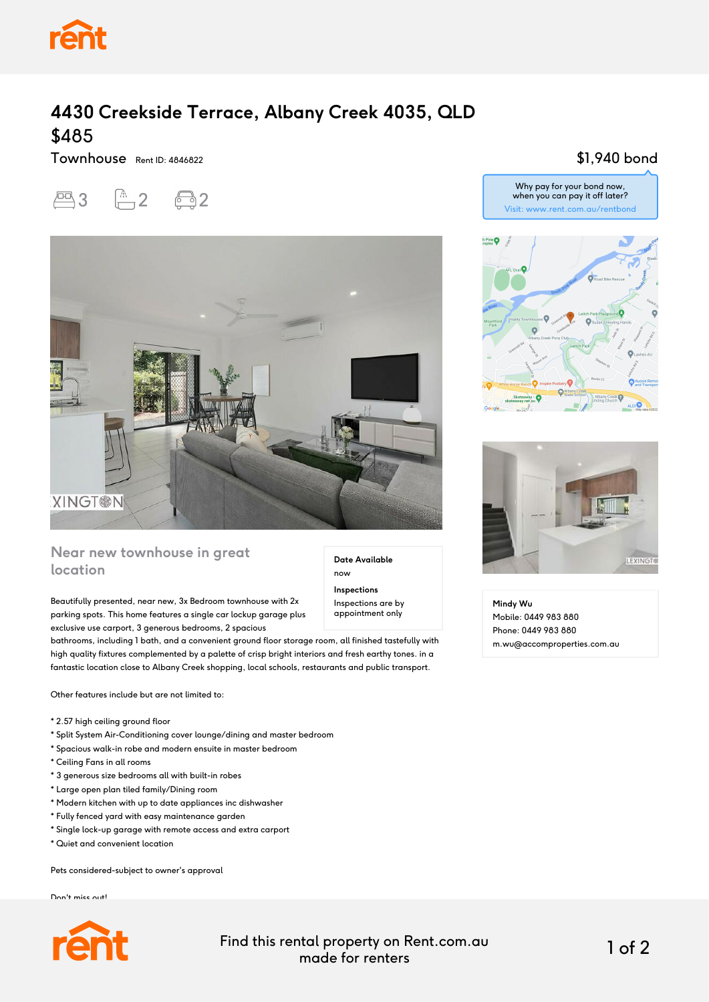

# **4430 Creekside Terrace, Albany Creek 4035, QLD** \$485

Townhouse Rent ID: 4846822





## **Near new townhouse in great location**

Beautifully presented, near new, 3x Bedroom townhouse with 2x parking spots. This home features a single car lockup garage plus exclusive use carport, 3 generous bedrooms, 2 spacious

bathrooms, including 1 bath, and a convenient ground floor storage room, all finished tastefully with high quality fixtures complemented by a palette of crisp bright interiors and fresh earthy tones. in a fantastic location close to Albany Creek shopping, local schools, restaurants and public transport.

Other features include but are not limited to:

- \* 2.57 high ceiling ground floor
- \* Split System Air-Conditioning cover lounge/dining and master bedroom
- \* Spacious walk-in robe and modern ensuite in master bedroom
- \* Ceiling Fans in all rooms
- \* 3 generous size bedrooms all with built-in robes
- \* Large open plan tiled family/Dining room
- \* Modern kitchen with up to date appliances inc dishwasher
- \* Fully fenced yard with easy maintenance garden
- \* Single lock-up garage with remote access and extra carport
- \* Quiet and convenient location

Pets considered-subject to owner's approval

Don't miss out!



Find this rental property on Rent.com.au made for renters 1 of 2

**Date Available**

now **Inspections** Inspections are by appointment only

#### \$1,940 bond







**Mindy Wu** Mobile: 0449 983 880 Phone: 0449 983 880 m.wu@accomproperties.com.au